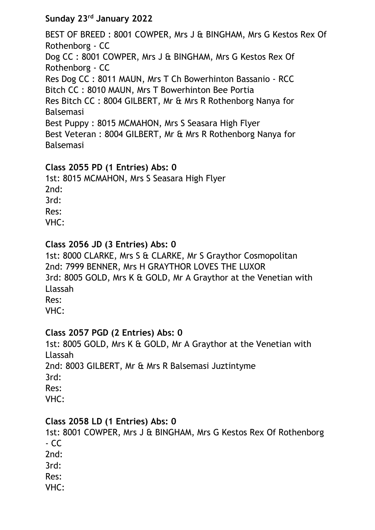# **Sunday 23rd January 2022**

BEST OF BREED : 8001 COWPER, Mrs J & BINGHAM, Mrs G Kestos Rex Of Rothenborg - CC Dog CC : 8001 COWPER, Mrs J & BINGHAM, Mrs G Kestos Rex Of Rothenborg - CC Res Dog CC : 8011 MAUN, Mrs T Ch Bowerhinton Bassanio - RCC Bitch CC : 8010 MAUN, Mrs T Bowerhinton Bee Portia Res Bitch CC : 8004 GILBERT, Mr & Mrs R Rothenborg Nanya for Balsemasi Best Puppy : 8015 MCMAHON, Mrs S Seasara High Flyer Best Veteran : 8004 GILBERT, Mr & Mrs R Rothenborg Nanya for Balsemasi

## **Class 2055 PD (1 Entries) Abs: 0**

1st: 8015 MCMAHON, Mrs S Seasara High Flyer 2nd: 3rd: Res: VHC:

## **Class 2056 JD (3 Entries) Abs: 0**

1st: 8000 CLARKE, Mrs S & CLARKE, Mr S Graythor Cosmopolitan 2nd: 7999 BENNER, Mrs H GRAYTHOR LOVES THE LUXOR 3rd: 8005 GOLD, Mrs K & GOLD, Mr A Graythor at the Venetian with Llassah Res:

VHC:

#### **Class 2057 PGD (2 Entries) Abs: 0**

1st: 8005 GOLD, Mrs K & GOLD, Mr A Graythor at the Venetian with Llassah 2nd: 8003 GILBERT, Mr & Mrs R Balsemasi Juztintyme 3rd: Res: VHC:

#### **Class 2058 LD (1 Entries) Abs: 0**

1st: 8001 COWPER, Mrs J & BINGHAM, Mrs G Kestos Rex Of Rothenborg - CC 2nd: 3rd:

Res:

VHC: